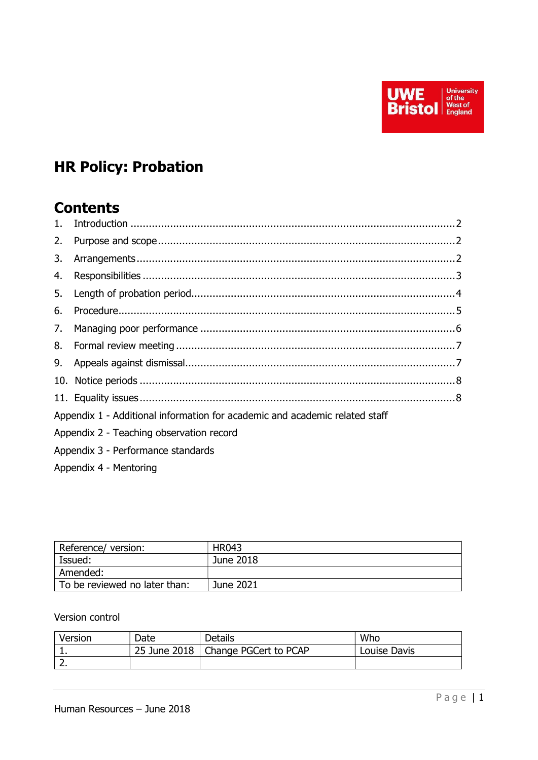

# HR Policy: Probation

## **Contents**

| 2. |                                                                             |  |
|----|-----------------------------------------------------------------------------|--|
|    |                                                                             |  |
|    |                                                                             |  |
|    |                                                                             |  |
| 6. |                                                                             |  |
|    |                                                                             |  |
|    |                                                                             |  |
|    |                                                                             |  |
|    |                                                                             |  |
|    |                                                                             |  |
|    | Appendix 1 - Additional information for academic and academic related staff |  |
|    | Appendix 2 - Teaching observation record                                    |  |

- Appendix 3 Performance standards
- Appendix 4 Mentoring

| Reference/version:            | <b>HR043</b> |
|-------------------------------|--------------|
| Issued:                       | June 2018    |
| Amended:                      |              |
| To be reviewed no later than: | June 2021    |

#### Version control

| Version  | Date | <b>Details</b>                       | Who          |
|----------|------|--------------------------------------|--------------|
| <b>.</b> |      | 25 June 2018   Change PGCert to PCAP | Louise Davis |
|          |      |                                      |              |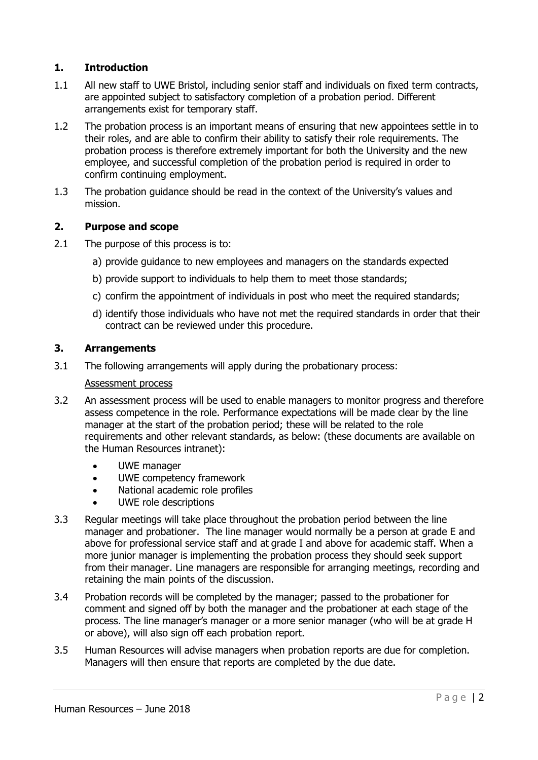## 1. Introduction

- 1.1 All new staff to UWE Bristol, including senior staff and individuals on fixed term contracts, are appointed subject to satisfactory completion of a probation period. Different arrangements exist for temporary staff.
- 1.2 The probation process is an important means of ensuring that new appointees settle in to their roles, and are able to confirm their ability to satisfy their role requirements. The probation process is therefore extremely important for both the University and the new employee, and successful completion of the probation period is required in order to confirm continuing employment.
- 1.3 The probation guidance should be read in the context of the University's values and mission.

#### 2. Purpose and scope

- 2.1 The purpose of this process is to:
	- a) provide guidance to new employees and managers on the standards expected
	- b) provide support to individuals to help them to meet those standards;
	- c) confirm the appointment of individuals in post who meet the required standards;
	- d) identify those individuals who have not met the required standards in order that their contract can be reviewed under this procedure.

#### 3. Arrangements

3.1 The following arrangements will apply during the probationary process:

#### Assessment process

- 3.2 An assessment process will be used to enable managers to monitor progress and therefore assess competence in the role. Performance expectations will be made clear by the line manager at the start of the probation period; these will be related to the role requirements and other relevant standards, as below: (these documents are available on the Human Resources intranet):
	- UWE manager
	- UWE competency framework
	- National academic role profiles
	- UWE role descriptions
- 3.3 Regular meetings will take place throughout the probation period between the line manager and probationer. The line manager would normally be a person at grade E and above for professional service staff and at grade I and above for academic staff. When a more junior manager is implementing the probation process they should seek support from their manager. Line managers are responsible for arranging meetings, recording and retaining the main points of the discussion.
- 3.4 Probation records will be completed by the manager; passed to the probationer for comment and signed off by both the manager and the probationer at each stage of the process. The line manager's manager or a more senior manager (who will be at grade H or above), will also sign off each probation report.
- 3.5 Human Resources will advise managers when probation reports are due for completion. Managers will then ensure that reports are completed by the due date.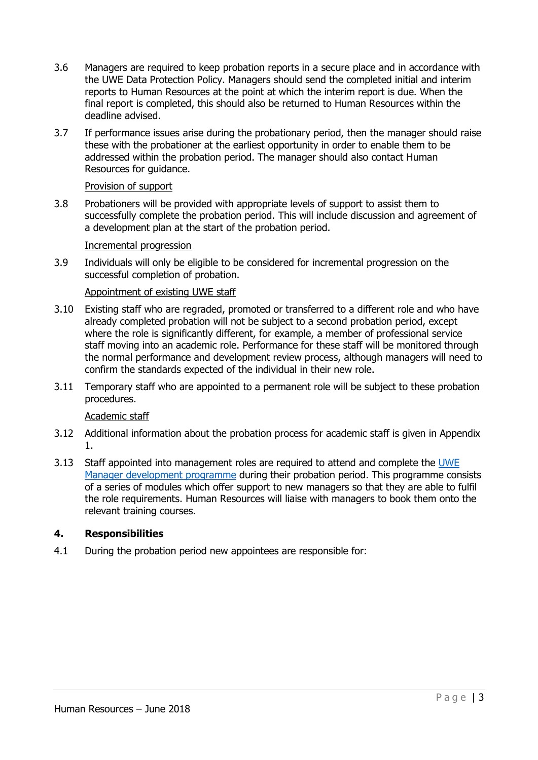- 3.6 Managers are required to keep probation reports in a secure place and in accordance with the UWE Data Protection Policy. Managers should send the completed initial and interim reports to Human Resources at the point at which the interim report is due. When the final report is completed, this should also be returned to Human Resources within the deadline advised.
- 3.7 If performance issues arise during the probationary period, then the manager should raise these with the probationer at the earliest opportunity in order to enable them to be addressed within the probation period. The manager should also contact Human Resources for guidance.

#### Provision of support

3.8 Probationers will be provided with appropriate levels of support to assist them to successfully complete the probation period. This will include discussion and agreement of a development plan at the start of the probation period.

#### Incremental progression

3.9 Individuals will only be eligible to be considered for incremental progression on the successful completion of probation.

## Appointment of existing UWE staff

- 3.10 Existing staff who are regraded, promoted or transferred to a different role and who have already completed probation will not be subject to a second probation period, except where the role is significantly different, for example, a member of professional service staff moving into an academic role. Performance for these staff will be monitored through the normal performance and development review process, although managers will need to confirm the standards expected of the individual in their new role.
- 3.11 Temporary staff who are appointed to a permanent role will be subject to these probation procedures.

#### Academic staff

- 3.12 Additional information about the probation process for academic staff is given in Appendix 1.
- 3.13 Staff appointed into management roles are required to attend and complete the UWE Manager development programme during their probation period. This programme consists of a series of modules which offer support to new managers so that they are able to fulfil the role requirements. Human Resources will liaise with managers to book them onto the relevant training courses.

#### 4. Responsibilities

4.1 During the probation period new appointees are responsible for: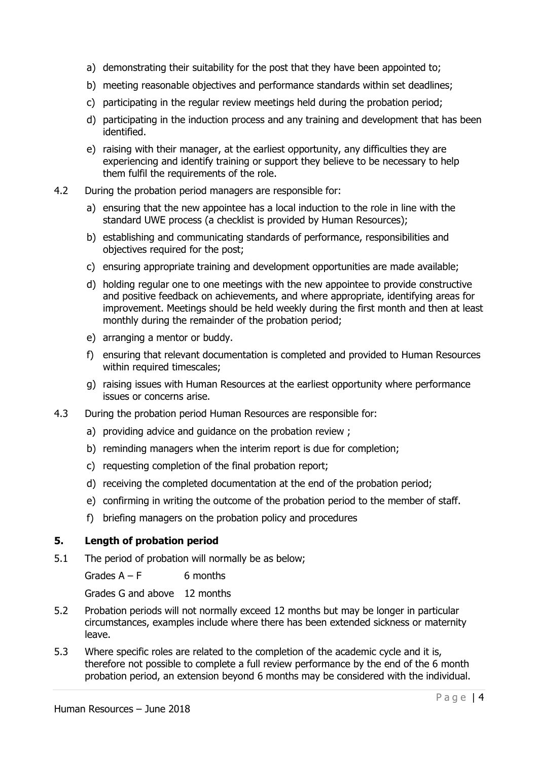- a) demonstrating their suitability for the post that they have been appointed to;
- b) meeting reasonable objectives and performance standards within set deadlines;
- c) participating in the regular review meetings held during the probation period;
- d) participating in the induction process and any training and development that has been identified.
- e) raising with their manager, at the earliest opportunity, any difficulties they are experiencing and identify training or support they believe to be necessary to help them fulfil the requirements of the role.
- 4.2 During the probation period managers are responsible for:
	- a) ensuring that the new appointee has a local induction to the role in line with the standard UWE process (a checklist is provided by Human Resources);
	- b) establishing and communicating standards of performance, responsibilities and objectives required for the post;
	- c) ensuring appropriate training and development opportunities are made available;
	- d) holding regular one to one meetings with the new appointee to provide constructive and positive feedback on achievements, and where appropriate, identifying areas for improvement. Meetings should be held weekly during the first month and then at least monthly during the remainder of the probation period;
	- e) arranging a mentor or buddy.
	- f) ensuring that relevant documentation is completed and provided to Human Resources within required timescales;
	- g) raising issues with Human Resources at the earliest opportunity where performance issues or concerns arise.
- 4.3 During the probation period Human Resources are responsible for:
	- a) providing advice and guidance on the probation review ;
	- b) reminding managers when the interim report is due for completion;
	- c) requesting completion of the final probation report;
	- d) receiving the completed documentation at the end of the probation period;
	- e) confirming in writing the outcome of the probation period to the member of staff.
	- f) briefing managers on the probation policy and procedures

#### 5. Length of probation period

5.1 The period of probation will normally be as below;

Grades  $A - F$  6 months

Grades G and above 12 months

- 5.2 Probation periods will not normally exceed 12 months but may be longer in particular circumstances, examples include where there has been extended sickness or maternity leave.
- 5.3 Where specific roles are related to the completion of the academic cycle and it is, therefore not possible to complete a full review performance by the end of the 6 month probation period, an extension beyond 6 months may be considered with the individual.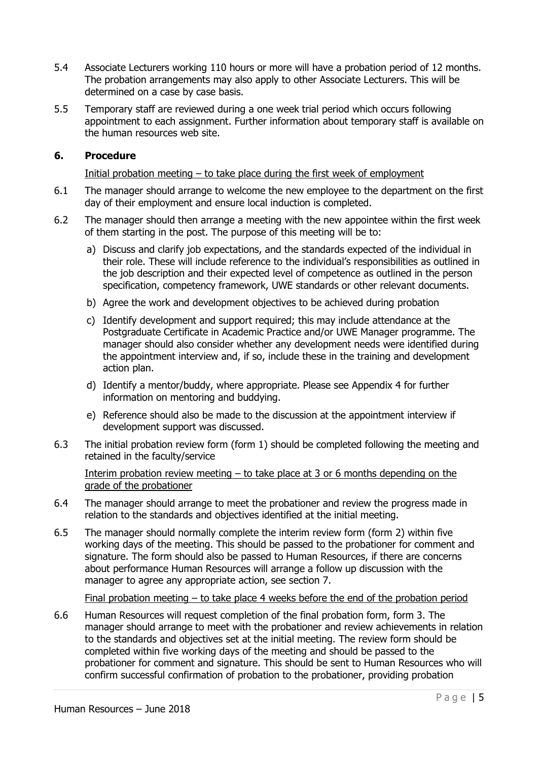- 5.4 Associate Lecturers working 110 hours or more will have a probation period of 12 months. The probation arrangements may also apply to other Associate Lecturers. This will be determined on a case by case basis.
- 5.5 Temporary staff are reviewed during a one week trial period which occurs following appointment to each assignment. Further information about temporary staff is available on the human resources web site.

#### 6. Procedure

#### Initial probation meeting  $-$  to take place during the first week of employment

- 6.1 The manager should arrange to welcome the new employee to the department on the first day of their employment and ensure local induction is completed.
- 6.2 The manager should then arrange a meeting with the new appointee within the first week of them starting in the post. The purpose of this meeting will be to:
	- a) Discuss and clarify job expectations, and the standards expected of the individual in their role. These will include reference to the individual's responsibilities as outlined in the job description and their expected level of competence as outlined in the person specification, competency framework, UWE standards or other relevant documents.
	- b) Agree the work and development objectives to be achieved during probation
	- c) Identify development and support required; this may include attendance at the Postgraduate Certificate in Academic Practice and/or UWE Manager programme. The manager should also consider whether any development needs were identified during the appointment interview and, if so, include these in the training and development action plan.
	- d) Identify a mentor/buddy, where appropriate. Please see Appendix 4 for further information on mentoring and buddying.
	- e) Reference should also be made to the discussion at the appointment interview if development support was discussed.
- 6.3 The initial probation review form (form 1) should be completed following the meeting and retained in the faculty/service

Interim probation review meeting – to take place at 3 or 6 months depending on the grade of the probationer

- 6.4 The manager should arrange to meet the probationer and review the progress made in relation to the standards and objectives identified at the initial meeting.
- 6.5 The manager should normally complete the interim review form (form 2) within five working days of the meeting. This should be passed to the probationer for comment and signature. The form should also be passed to Human Resources, if there are concerns about performance Human Resources will arrange a follow up discussion with the manager to agree any appropriate action, see section 7.

Final probation meeting  $-$  to take place 4 weeks before the end of the probation period

6.6 Human Resources will request completion of the final probation form, form 3. The manager should arrange to meet with the probationer and review achievements in relation to the standards and objectives set at the initial meeting. The review form should be completed within five working days of the meeting and should be passed to the probationer for comment and signature. This should be sent to Human Resources who will confirm successful confirmation of probation to the probationer, providing probation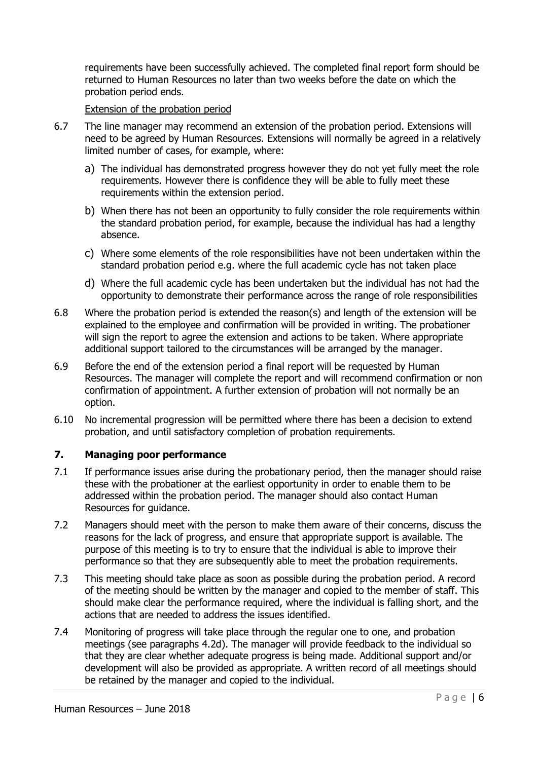requirements have been successfully achieved. The completed final report form should be returned to Human Resources no later than two weeks before the date on which the probation period ends.

#### Extension of the probation period

- 6.7 The line manager may recommend an extension of the probation period. Extensions will need to be agreed by Human Resources. Extensions will normally be agreed in a relatively limited number of cases, for example, where:
	- a) The individual has demonstrated progress however they do not yet fully meet the role requirements. However there is confidence they will be able to fully meet these requirements within the extension period.
	- b) When there has not been an opportunity to fully consider the role requirements within the standard probation period, for example, because the individual has had a lengthy absence.
	- c) Where some elements of the role responsibilities have not been undertaken within the standard probation period e.g. where the full academic cycle has not taken place
	- d) Where the full academic cycle has been undertaken but the individual has not had the opportunity to demonstrate their performance across the range of role responsibilities
- 6.8 Where the probation period is extended the reason(s) and length of the extension will be explained to the employee and confirmation will be provided in writing. The probationer will sign the report to agree the extension and actions to be taken. Where appropriate additional support tailored to the circumstances will be arranged by the manager.
- 6.9 Before the end of the extension period a final report will be requested by Human Resources. The manager will complete the report and will recommend confirmation or non confirmation of appointment. A further extension of probation will not normally be an option.
- 6.10 No incremental progression will be permitted where there has been a decision to extend probation, and until satisfactory completion of probation requirements.

#### 7. Managing poor performance

- 7.1 If performance issues arise during the probationary period, then the manager should raise these with the probationer at the earliest opportunity in order to enable them to be addressed within the probation period. The manager should also contact Human Resources for guidance.
- 7.2 Managers should meet with the person to make them aware of their concerns, discuss the reasons for the lack of progress, and ensure that appropriate support is available. The purpose of this meeting is to try to ensure that the individual is able to improve their performance so that they are subsequently able to meet the probation requirements.
- 7.3 This meeting should take place as soon as possible during the probation period. A record of the meeting should be written by the manager and copied to the member of staff. This should make clear the performance required, where the individual is falling short, and the actions that are needed to address the issues identified.
- 7.4 Monitoring of progress will take place through the regular one to one, and probation meetings (see paragraphs 4.2d). The manager will provide feedback to the individual so that they are clear whether adequate progress is being made. Additional support and/or development will also be provided as appropriate. A written record of all meetings should be retained by the manager and copied to the individual.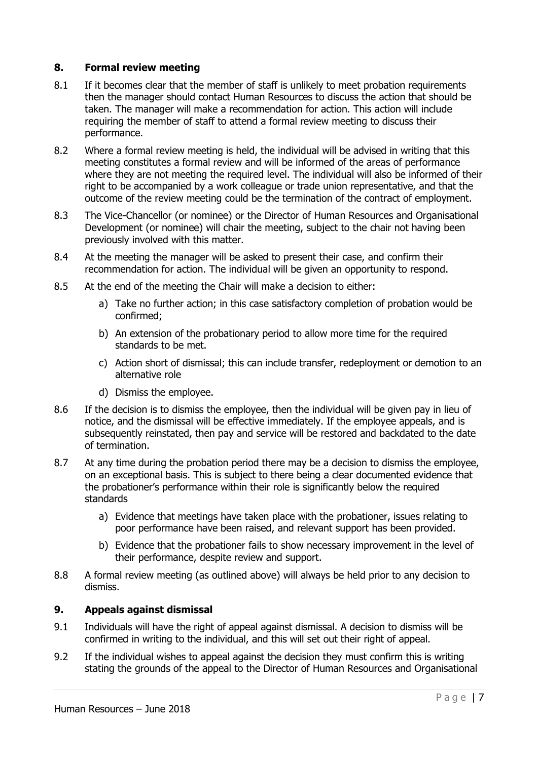#### 8. Formal review meeting

- 8.1 If it becomes clear that the member of staff is unlikely to meet probation requirements then the manager should contact Human Resources to discuss the action that should be taken. The manager will make a recommendation for action. This action will include requiring the member of staff to attend a formal review meeting to discuss their performance.
- 8.2 Where a formal review meeting is held, the individual will be advised in writing that this meeting constitutes a formal review and will be informed of the areas of performance where they are not meeting the required level. The individual will also be informed of their right to be accompanied by a work colleague or trade union representative, and that the outcome of the review meeting could be the termination of the contract of employment.
- 8.3 The Vice-Chancellor (or nominee) or the Director of Human Resources and Organisational Development (or nominee) will chair the meeting, subject to the chair not having been previously involved with this matter.
- 8.4 At the meeting the manager will be asked to present their case, and confirm their recommendation for action. The individual will be given an opportunity to respond.
- 8.5 At the end of the meeting the Chair will make a decision to either:
	- a) Take no further action; in this case satisfactory completion of probation would be confirmed;
	- b) An extension of the probationary period to allow more time for the required standards to be met.
	- c) Action short of dismissal; this can include transfer, redeployment or demotion to an alternative role
	- d) Dismiss the employee.
- 8.6 If the decision is to dismiss the employee, then the individual will be given pay in lieu of notice, and the dismissal will be effective immediately. If the employee appeals, and is subsequently reinstated, then pay and service will be restored and backdated to the date of termination.
- 8.7 At any time during the probation period there may be a decision to dismiss the employee, on an exceptional basis. This is subject to there being a clear documented evidence that the probationer's performance within their role is significantly below the required standards
	- a) Evidence that meetings have taken place with the probationer, issues relating to poor performance have been raised, and relevant support has been provided.
	- b) Evidence that the probationer fails to show necessary improvement in the level of their performance, despite review and support.
- 8.8 A formal review meeting (as outlined above) will always be held prior to any decision to dismiss.

## 9. Appeals against dismissal

- 9.1 Individuals will have the right of appeal against dismissal. A decision to dismiss will be confirmed in writing to the individual, and this will set out their right of appeal.
- 9.2 If the individual wishes to appeal against the decision they must confirm this is writing stating the grounds of the appeal to the Director of Human Resources and Organisational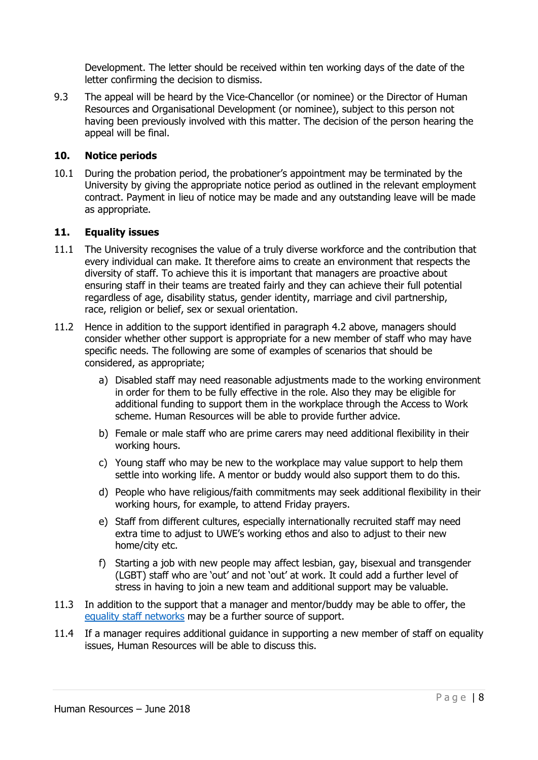Development. The letter should be received within ten working days of the date of the letter confirming the decision to dismiss.

9.3 The appeal will be heard by the Vice-Chancellor (or nominee) or the Director of Human Resources and Organisational Development (or nominee), subject to this person not having been previously involved with this matter. The decision of the person hearing the appeal will be final.

#### 10. Notice periods

10.1 During the probation period, the probationer's appointment may be terminated by the University by giving the appropriate notice period as outlined in the relevant employment contract. Payment in lieu of notice may be made and any outstanding leave will be made as appropriate.

#### 11. Equality issues

- 11.1 The University recognises the value of a truly diverse workforce and the contribution that every individual can make. It therefore aims to create an environment that respects the diversity of staff. To achieve this it is important that managers are proactive about ensuring staff in their teams are treated fairly and they can achieve their full potential regardless of age, disability status, gender identity, marriage and civil partnership, race, religion or belief, sex or sexual orientation.
- 11.2 Hence in addition to the support identified in paragraph 4.2 above, managers should consider whether other support is appropriate for a new member of staff who may have specific needs. The following are some of examples of scenarios that should be considered, as appropriate;
	- a) Disabled staff may need reasonable adjustments made to the working environment in order for them to be fully effective in the role. Also they may be eligible for additional funding to support them in the workplace through the Access to Work scheme. Human Resources will be able to provide further advice.
	- b) Female or male staff who are prime carers may need additional flexibility in their working hours.
	- c) Young staff who may be new to the workplace may value support to help them settle into working life. A mentor or buddy would also support them to do this.
	- d) People who have religious/faith commitments may seek additional flexibility in their working hours, for example, to attend Friday prayers.
	- e) Staff from different cultures, especially internationally recruited staff may need extra time to adjust to UWE's working ethos and also to adjust to their new home/city etc.
	- f) Starting a job with new people may affect lesbian, gay, bisexual and transgender (LGBT) staff who are 'out' and not 'out' at work. It could add a further level of stress in having to join a new team and additional support may be valuable.
- 11.3 In addition to the support that a manager and mentor/buddy may be able to offer, the equality staff networks may be a further source of support.
- 11.4 If a manager requires additional guidance in supporting a new member of staff on equality issues, Human Resources will be able to discuss this.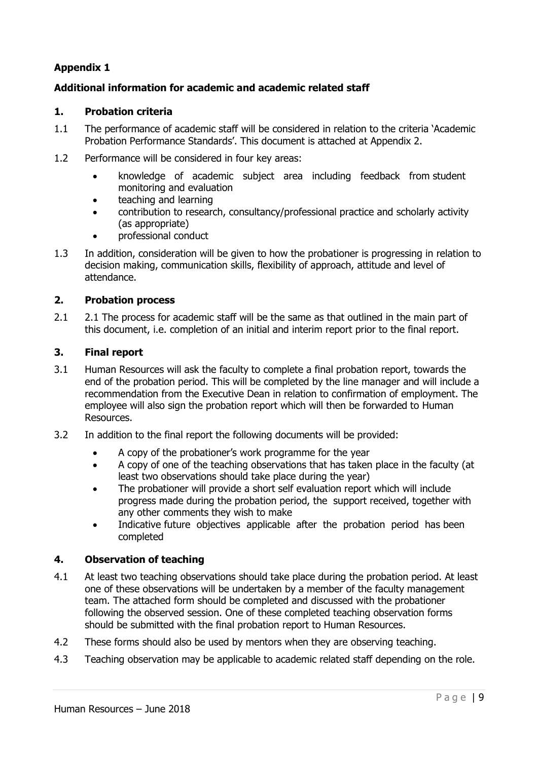## Additional information for academic and academic related staff

#### 1. Probation criteria

- 1.1 The performance of academic staff will be considered in relation to the criteria 'Academic Probation Performance Standards'. This document is attached at Appendix 2.
- 1.2 Performance will be considered in four key areas:
	- knowledge of academic subject area including feedback from student monitoring and evaluation
	- teaching and learning
	- contribution to research, consultancy/professional practice and scholarly activity (as appropriate)
	- **professional conduct**
- 1.3 In addition, consideration will be given to how the probationer is progressing in relation to decision making, communication skills, flexibility of approach, attitude and level of attendance.

#### 2. Probation process

2.1 2.1 The process for academic staff will be the same as that outlined in the main part of this document, i.e. completion of an initial and interim report prior to the final report.

#### 3. Final report

- 3.1 Human Resources will ask the faculty to complete a final probation report, towards the end of the probation period. This will be completed by the line manager and will include a recommendation from the Executive Dean in relation to confirmation of employment. The employee will also sign the probation report which will then be forwarded to Human Resources.
- 3.2 In addition to the final report the following documents will be provided:
	- A copy of the probationer's work programme for the year
	- A copy of one of the teaching observations that has taken place in the faculty (at least two observations should take place during the year)
	- The probationer will provide a short self evaluation report which will include progress made during the probation period, the support received, together with any other comments they wish to make
	- Indicative future objectives applicable after the probation period has been completed

#### 4. Observation of teaching

- 4.1 At least two teaching observations should take place during the probation period. At least one of these observations will be undertaken by a member of the faculty management team. The attached form should be completed and discussed with the probationer following the observed session. One of these completed teaching observation forms should be submitted with the final probation report to Human Resources.
- 4.2 These forms should also be used by mentors when they are observing teaching.
- 4.3 Teaching observation may be applicable to academic related staff depending on the role.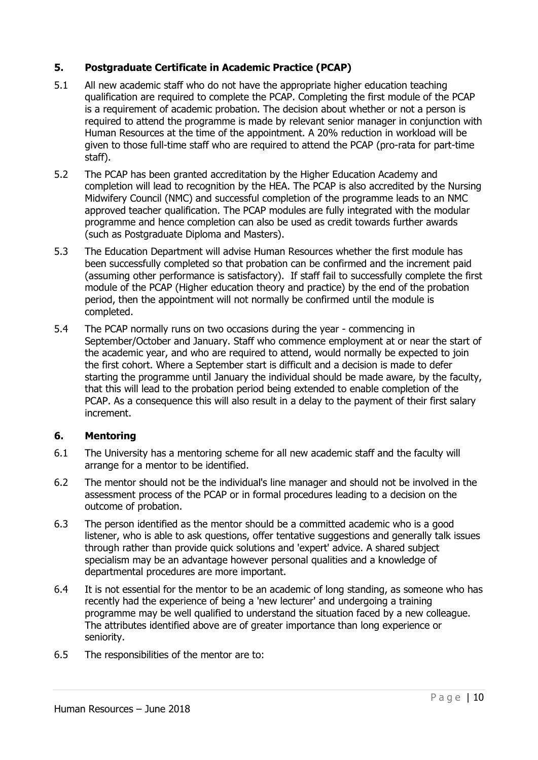## 5. Postgraduate Certificate in Academic Practice (PCAP)

- 5.1 All new academic staff who do not have the appropriate higher education teaching qualification are required to complete the PCAP. Completing the first module of the PCAP is a requirement of academic probation. The decision about whether or not a person is required to attend the programme is made by relevant senior manager in conjunction with Human Resources at the time of the appointment. A 20% reduction in workload will be given to those full-time staff who are required to attend the PCAP (pro-rata for part-time staff).
- 5.2 The PCAP has been granted accreditation by the Higher Education Academy and completion will lead to recognition by the HEA. The PCAP is also accredited by the Nursing Midwifery Council (NMC) and successful completion of the programme leads to an NMC approved teacher qualification. The PCAP modules are fully integrated with the modular programme and hence completion can also be used as credit towards further awards (such as Postgraduate Diploma and Masters).
- 5.3 The Education Department will advise Human Resources whether the first module has been successfully completed so that probation can be confirmed and the increment paid (assuming other performance is satisfactory). If staff fail to successfully complete the first module of the PCAP (Higher education theory and practice) by the end of the probation period, then the appointment will not normally be confirmed until the module is completed.
- 5.4 The PCAP normally runs on two occasions during the year commencing in September/October and January. Staff who commence employment at or near the start of the academic year, and who are required to attend, would normally be expected to join the first cohort. Where a September start is difficult and a decision is made to defer starting the programme until January the individual should be made aware, by the faculty, that this will lead to the probation period being extended to enable completion of the PCAP. As a consequence this will also result in a delay to the payment of their first salary increment.

#### 6. Mentoring

- 6.1 The University has a mentoring scheme for all new academic staff and the faculty will arrange for a mentor to be identified.
- 6.2 The mentor should not be the individual's line manager and should not be involved in the assessment process of the PCAP or in formal procedures leading to a decision on the outcome of probation.
- 6.3 The person identified as the mentor should be a committed academic who is a good listener, who is able to ask questions, offer tentative suggestions and generally talk issues through rather than provide quick solutions and 'expert' advice. A shared subject specialism may be an advantage however personal qualities and a knowledge of departmental procedures are more important.
- 6.4 It is not essential for the mentor to be an academic of long standing, as someone who has recently had the experience of being a 'new lecturer' and undergoing a training programme may be well qualified to understand the situation faced by a new colleague. The attributes identified above are of greater importance than long experience or seniority.
- 6.5 The responsibilities of the mentor are to: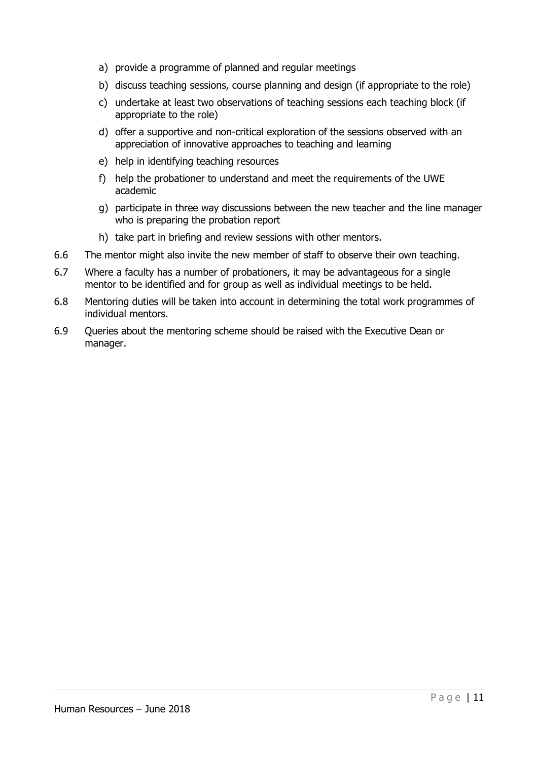- a) provide a programme of planned and regular meetings
- b) discuss teaching sessions, course planning and design (if appropriate to the role)
- c) undertake at least two observations of teaching sessions each teaching block (if appropriate to the role)
- d) offer a supportive and non-critical exploration of the sessions observed with an appreciation of innovative approaches to teaching and learning
- e) help in identifying teaching resources
- f) help the probationer to understand and meet the requirements of the UWE academic
- g) participate in three way discussions between the new teacher and the line manager who is preparing the probation report
- h) take part in briefing and review sessions with other mentors.
- 6.6 The mentor might also invite the new member of staff to observe their own teaching.
- 6.7 Where a faculty has a number of probationers, it may be advantageous for a single mentor to be identified and for group as well as individual meetings to be held.
- 6.8 Mentoring duties will be taken into account in determining the total work programmes of individual mentors.
- 6.9 Queries about the mentoring scheme should be raised with the Executive Dean or manager.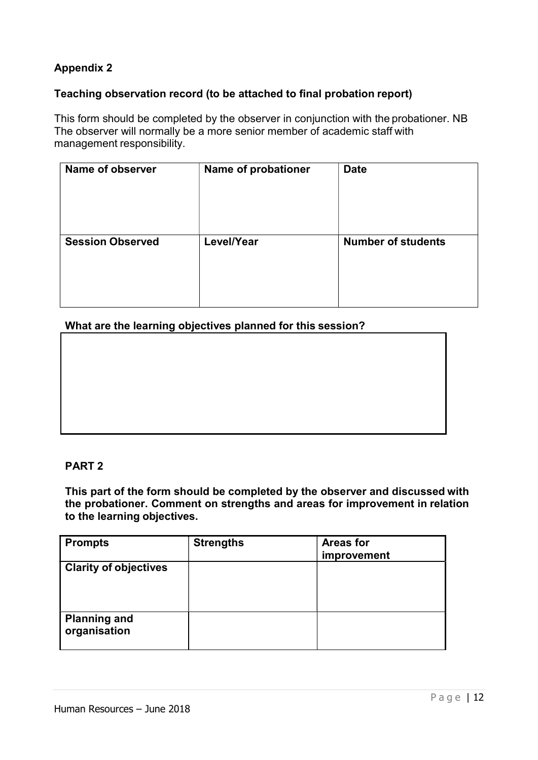## Teaching observation record (to be attached to final probation report)

This form should be completed by the observer in conjunction with the probationer. NB The observer will normally be a more senior member of academic staff with management responsibility.

| Name of observer        | Name of probationer | <b>Date</b>               |
|-------------------------|---------------------|---------------------------|
| <b>Session Observed</b> | Level/Year          | <b>Number of students</b> |

What are the learning objectives planned for this session?

#### PART 2

This part of the form should be completed by the observer and discussed with the probationer. Comment on strengths and areas for improvement in relation to the learning objectives.

| <b>Prompts</b>                      | <b>Strengths</b> | <b>Areas for</b><br>improvement |
|-------------------------------------|------------------|---------------------------------|
| <b>Clarity of objectives</b>        |                  |                                 |
| <b>Planning and</b><br>organisation |                  |                                 |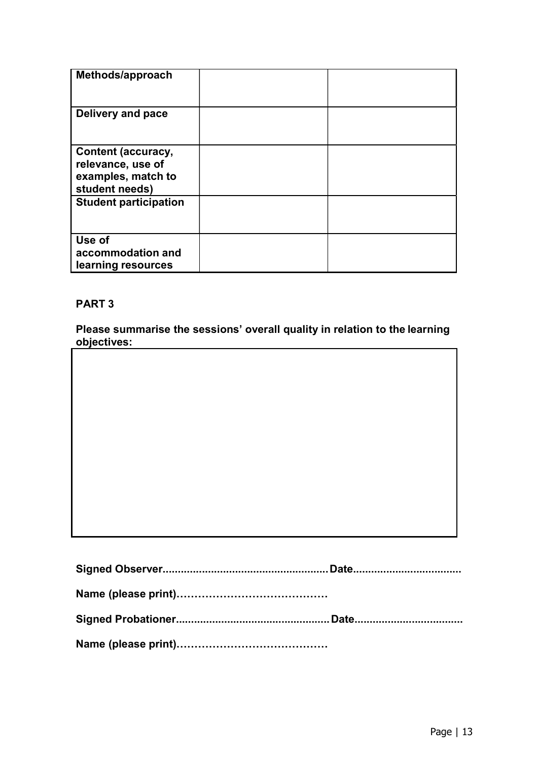| Methods/approach                                                                       |  |
|----------------------------------------------------------------------------------------|--|
| Delivery and pace                                                                      |  |
| <b>Content (accuracy,</b><br>relevance, use of<br>examples, match to<br>student needs) |  |
| <b>Student participation</b>                                                           |  |
| Use of<br>accommodation and<br>learning resources                                      |  |

## PART 3

Please summarise the sessions' overall quality in relation to the learning objectives: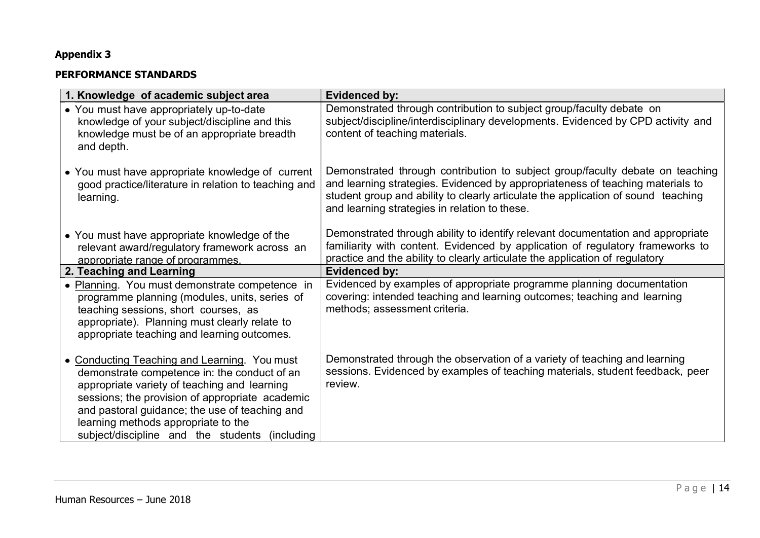#### PERFORMANCE STANDARDS

| 1. Knowledge of academic subject area                                                                                                                                                                                                                                                                                                      | <b>Evidenced by:</b>                                                                                                                                                                                                                                                                                  |
|--------------------------------------------------------------------------------------------------------------------------------------------------------------------------------------------------------------------------------------------------------------------------------------------------------------------------------------------|-------------------------------------------------------------------------------------------------------------------------------------------------------------------------------------------------------------------------------------------------------------------------------------------------------|
| • You must have appropriately up-to-date<br>knowledge of your subject/discipline and this<br>knowledge must be of an appropriate breadth<br>and depth.                                                                                                                                                                                     | Demonstrated through contribution to subject group/faculty debate on<br>subject/discipline/interdisciplinary developments. Evidenced by CPD activity and<br>content of teaching materials.                                                                                                            |
| • You must have appropriate knowledge of current<br>good practice/literature in relation to teaching and<br>learning.                                                                                                                                                                                                                      | Demonstrated through contribution to subject group/faculty debate on teaching<br>and learning strategies. Evidenced by appropriateness of teaching materials to<br>student group and ability to clearly articulate the application of sound teaching<br>and learning strategies in relation to these. |
| • You must have appropriate knowledge of the<br>relevant award/regulatory framework across an<br>appropriate range of programmes.                                                                                                                                                                                                          | Demonstrated through ability to identify relevant documentation and appropriate<br>familiarity with content. Evidenced by application of regulatory frameworks to<br>practice and the ability to clearly articulate the application of regulatory                                                     |
| 2. Teaching and Learning                                                                                                                                                                                                                                                                                                                   | <b>Evidenced by:</b>                                                                                                                                                                                                                                                                                  |
| • Planning. You must demonstrate competence in<br>programme planning (modules, units, series of<br>teaching sessions, short courses, as<br>appropriate). Planning must clearly relate to<br>appropriate teaching and learning outcomes.                                                                                                    | Evidenced by examples of appropriate programme planning documentation<br>covering: intended teaching and learning outcomes; teaching and learning<br>methods; assessment criteria.                                                                                                                    |
| • Conducting Teaching and Learning. You must<br>demonstrate competence in: the conduct of an<br>appropriate variety of teaching and learning<br>sessions; the provision of appropriate academic<br>and pastoral guidance; the use of teaching and<br>learning methods appropriate to the<br>subject/discipline and the students (including | Demonstrated through the observation of a variety of teaching and learning<br>sessions. Evidenced by examples of teaching materials, student feedback, peer<br>review.                                                                                                                                |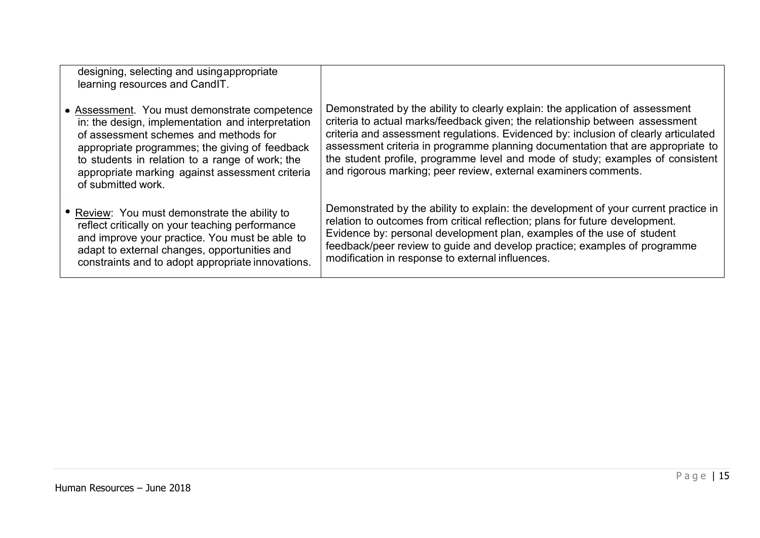| designing, selecting and using appropriate<br>learning resources and CandIT.                                                                                                                                                                                                                                              |                                                                                                                                                                                                                                                                                                                                                                                                                                                                                              |
|---------------------------------------------------------------------------------------------------------------------------------------------------------------------------------------------------------------------------------------------------------------------------------------------------------------------------|----------------------------------------------------------------------------------------------------------------------------------------------------------------------------------------------------------------------------------------------------------------------------------------------------------------------------------------------------------------------------------------------------------------------------------------------------------------------------------------------|
| • Assessment. You must demonstrate competence<br>in: the design, implementation and interpretation<br>of assessment schemes and methods for<br>appropriate programmes; the giving of feedback<br>to students in relation to a range of work; the<br>appropriate marking against assessment criteria<br>of submitted work. | Demonstrated by the ability to clearly explain: the application of assessment<br>criteria to actual marks/feedback given; the relationship between assessment<br>criteria and assessment regulations. Evidenced by: inclusion of clearly articulated<br>assessment criteria in programme planning documentation that are appropriate to<br>the student profile, programme level and mode of study; examples of consistent<br>and rigorous marking; peer review, external examiners comments. |
| • Review: You must demonstrate the ability to<br>reflect critically on your teaching performance<br>and improve your practice. You must be able to<br>adapt to external changes, opportunities and<br>constraints and to adopt appropriate innovations.                                                                   | Demonstrated by the ability to explain: the development of your current practice in<br>relation to outcomes from critical reflection; plans for future development.<br>Evidence by: personal development plan, examples of the use of student<br>feedback/peer review to guide and develop practice; examples of programme<br>modification in response to external influences.                                                                                                               |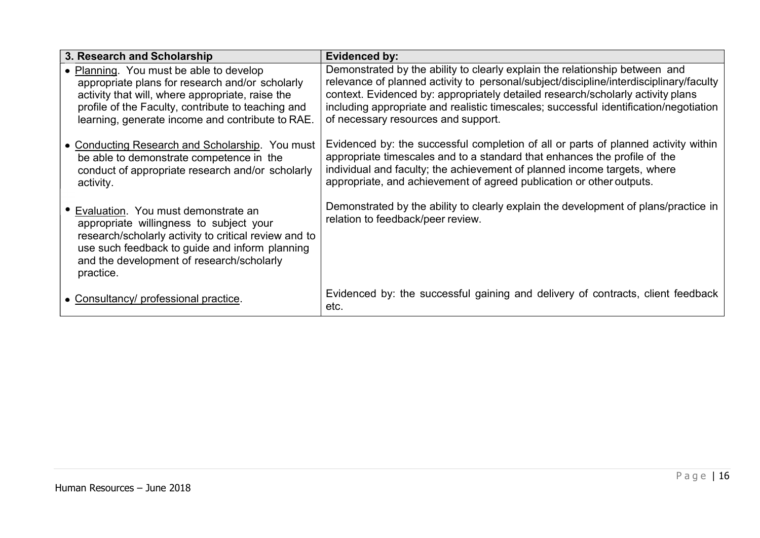| 3. Research and Scholarship                                                                                                                                                                                                                              | Evidenced by:                                                                                                                                                                                                                                                                                                                                                                            |
|----------------------------------------------------------------------------------------------------------------------------------------------------------------------------------------------------------------------------------------------------------|------------------------------------------------------------------------------------------------------------------------------------------------------------------------------------------------------------------------------------------------------------------------------------------------------------------------------------------------------------------------------------------|
| • Planning. You must be able to develop<br>appropriate plans for research and/or scholarly<br>activity that will, where appropriate, raise the<br>profile of the Faculty, contribute to teaching and<br>learning, generate income and contribute to RAE. | Demonstrated by the ability to clearly explain the relationship between and<br>relevance of planned activity to personal/subject/discipline/interdisciplinary/faculty<br>context. Evidenced by: appropriately detailed research/scholarly activity plans<br>including appropriate and realistic timescales; successful identification/negotiation<br>of necessary resources and support. |
| • Conducting Research and Scholarship. You must<br>be able to demonstrate competence in the<br>conduct of appropriate research and/or scholarly<br>activity.                                                                                             | Evidenced by: the successful completion of all or parts of planned activity within<br>appropriate timescales and to a standard that enhances the profile of the<br>individual and faculty; the achievement of planned income targets, where<br>appropriate, and achievement of agreed publication or other outputs.                                                                      |
| Evaluation. You must demonstrate an<br>appropriate willingness to subject your<br>research/scholarly activity to critical review and to<br>use such feedback to guide and inform planning<br>and the development of research/scholarly<br>practice.      | Demonstrated by the ability to clearly explain the development of plans/practice in<br>relation to feedback/peer review.                                                                                                                                                                                                                                                                 |
| • Consultancy/ professional practice.                                                                                                                                                                                                                    | Evidenced by: the successful gaining and delivery of contracts, client feedback<br>etc.                                                                                                                                                                                                                                                                                                  |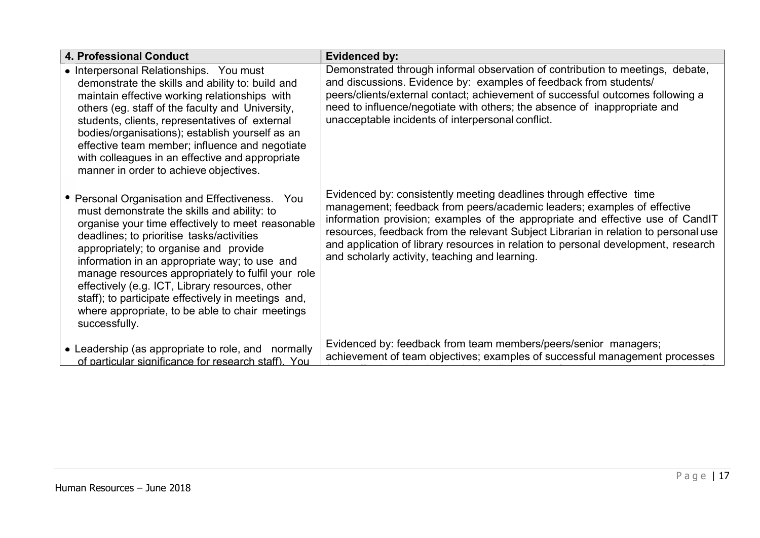| 4. Professional Conduct                                                                                                                                                                                                                                                                                                                                                                                                                                                                                                        | <b>Evidenced by:</b>                                                                                                                                                                                                                                                                                                                                                                                                                                            |
|--------------------------------------------------------------------------------------------------------------------------------------------------------------------------------------------------------------------------------------------------------------------------------------------------------------------------------------------------------------------------------------------------------------------------------------------------------------------------------------------------------------------------------|-----------------------------------------------------------------------------------------------------------------------------------------------------------------------------------------------------------------------------------------------------------------------------------------------------------------------------------------------------------------------------------------------------------------------------------------------------------------|
| • Interpersonal Relationships. You must<br>demonstrate the skills and ability to: build and<br>maintain effective working relationships with<br>others (eg. staff of the faculty and University,<br>students, clients, representatives of external<br>bodies/organisations); establish yourself as an<br>effective team member; influence and negotiate<br>with colleagues in an effective and appropriate<br>manner in order to achieve objectives.                                                                           | Demonstrated through informal observation of contribution to meetings, debate,<br>and discussions. Evidence by: examples of feedback from students/<br>peers/clients/external contact; achievement of successful outcomes following a<br>need to influence/negotiate with others; the absence of inappropriate and<br>unacceptable incidents of interpersonal conflict.                                                                                         |
| • Personal Organisation and Effectiveness. You<br>must demonstrate the skills and ability: to<br>organise your time effectively to meet reasonable<br>deadlines; to prioritise tasks/activities<br>appropriately; to organise and provide<br>information in an appropriate way; to use and<br>manage resources appropriately to fulfil your role<br>effectively (e.g. ICT, Library resources, other<br>staff); to participate effectively in meetings and,<br>where appropriate, to be able to chair meetings<br>successfully. | Evidenced by: consistently meeting deadlines through effective time<br>management; feedback from peers/academic leaders; examples of effective<br>information provision; examples of the appropriate and effective use of CandIT<br>resources, feedback from the relevant Subject Librarian in relation to personal use<br>and application of library resources in relation to personal development, research<br>and scholarly activity, teaching and learning. |
| • Leadership (as appropriate to role, and normally<br>of particular significance for research staff). You                                                                                                                                                                                                                                                                                                                                                                                                                      | Evidenced by: feedback from team members/peers/senior managers;<br>achievement of team objectives; examples of successful management processes                                                                                                                                                                                                                                                                                                                  |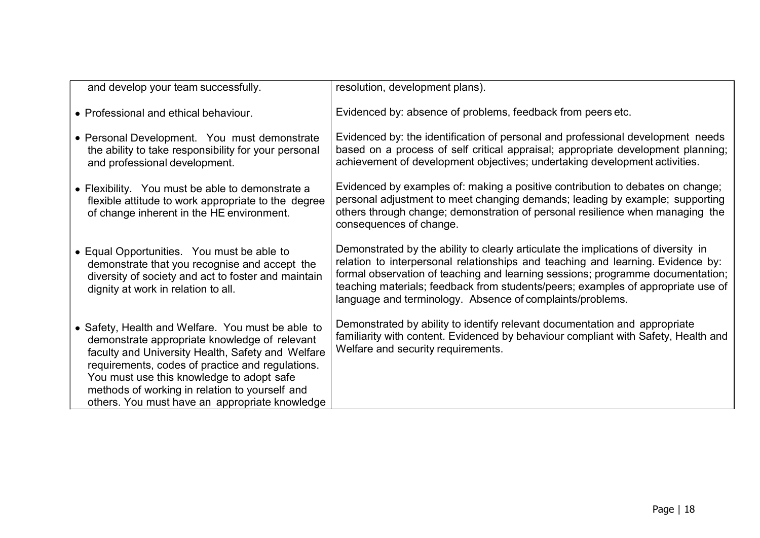| and develop your team successfully.                                                                                                                                                                                                                                                                                                                          | resolution, development plans).                                                                                                                                                                                                                                                                                                                                                                          |
|--------------------------------------------------------------------------------------------------------------------------------------------------------------------------------------------------------------------------------------------------------------------------------------------------------------------------------------------------------------|----------------------------------------------------------------------------------------------------------------------------------------------------------------------------------------------------------------------------------------------------------------------------------------------------------------------------------------------------------------------------------------------------------|
| • Professional and ethical behaviour.                                                                                                                                                                                                                                                                                                                        | Evidenced by: absence of problems, feedback from peers etc.                                                                                                                                                                                                                                                                                                                                              |
| • Personal Development. You must demonstrate<br>the ability to take responsibility for your personal<br>and professional development.                                                                                                                                                                                                                        | Evidenced by: the identification of personal and professional development needs<br>based on a process of self critical appraisal; appropriate development planning;<br>achievement of development objectives; undertaking development activities.                                                                                                                                                        |
| • Flexibility. You must be able to demonstrate a<br>flexible attitude to work appropriate to the degree<br>of change inherent in the HE environment.                                                                                                                                                                                                         | Evidenced by examples of: making a positive contribution to debates on change;<br>personal adjustment to meet changing demands; leading by example; supporting<br>others through change; demonstration of personal resilience when managing the<br>consequences of change.                                                                                                                               |
| • Equal Opportunities. You must be able to<br>demonstrate that you recognise and accept the<br>diversity of society and act to foster and maintain<br>dignity at work in relation to all.                                                                                                                                                                    | Demonstrated by the ability to clearly articulate the implications of diversity in<br>relation to interpersonal relationships and teaching and learning. Evidence by:<br>formal observation of teaching and learning sessions; programme documentation;<br>teaching materials; feedback from students/peers; examples of appropriate use of<br>language and terminology. Absence of complaints/problems. |
| • Safety, Health and Welfare. You must be able to<br>demonstrate appropriate knowledge of relevant<br>faculty and University Health, Safety and Welfare<br>requirements, codes of practice and regulations.<br>You must use this knowledge to adopt safe<br>methods of working in relation to yourself and<br>others. You must have an appropriate knowledge | Demonstrated by ability to identify relevant documentation and appropriate<br>familiarity with content. Evidenced by behaviour compliant with Safety, Health and<br>Welfare and security requirements.                                                                                                                                                                                                   |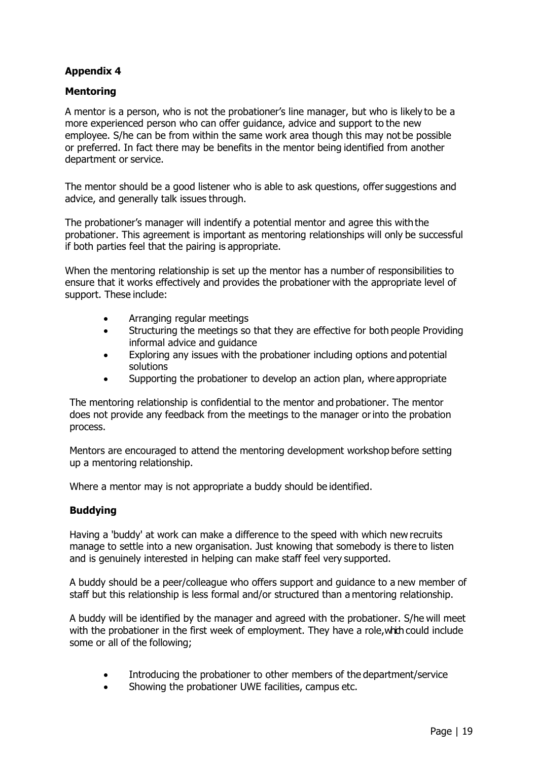## **Mentoring**

A mentor is a person, who is not the probationer's line manager, but who is likely to be a more experienced person who can offer guidance, advice and support to the new employee. S/he can be from within the same work area though this may not be possible or preferred. In fact there may be benefits in the mentor being identified from another department or service.

The mentor should be a good listener who is able to ask questions, offer suggestions and advice, and generally talk issues through.

The probationer's manager will indentify a potential mentor and agree this with the probationer. This agreement is important as mentoring relationships will only be successful if both parties feel that the pairing is appropriate.

When the mentoring relationship is set up the mentor has a number of responsibilities to ensure that it works effectively and provides the probationer with the appropriate level of support. These include:

- Arranging regular meetings
- Structuring the meetings so that they are effective for both people Providing informal advice and guidance
- Exploring any issues with the probationer including options and potential solutions
- Supporting the probationer to develop an action plan, where appropriate

The mentoring relationship is confidential to the mentor and probationer. The mentor does not provide any feedback from the meetings to the manager or into the probation process.

Mentors are encouraged to attend the mentoring development workshop before setting up a mentoring relationship.

Where a mentor may is not appropriate a buddy should be identified.

#### Buddying

Having a 'buddy' at work can make a difference to the speed with which new recruits manage to settle into a new organisation. Just knowing that somebody is there to listen and is genuinely interested in helping can make staff feel very supported.

A buddy should be a peer/colleague who offers support and guidance to a new member of staff but this relationship is less formal and/or structured than a mentoring relationship.

A buddy will be identified by the manager and agreed with the probationer. S/he will meet with the probationer in the first week of employment. They have a role, which could include some or all of the following;

- Introducing the probationer to other members of the department/service
- Showing the probationer UWE facilities, campus etc.